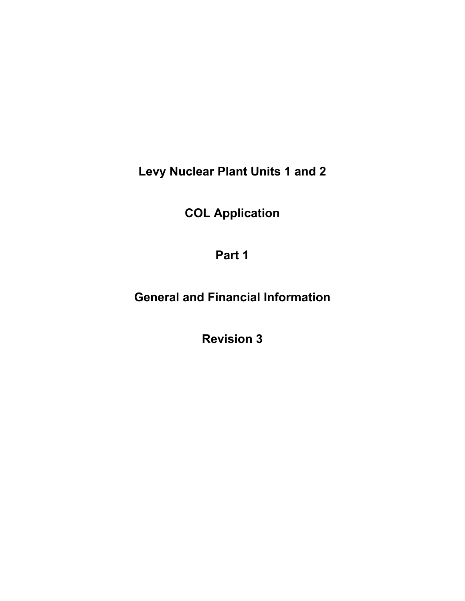**Levy Nuclear Plant Units 1 and 2** 

**COL Application** 

**Part 1** 

**General and Financial Information** 

**Revision 3**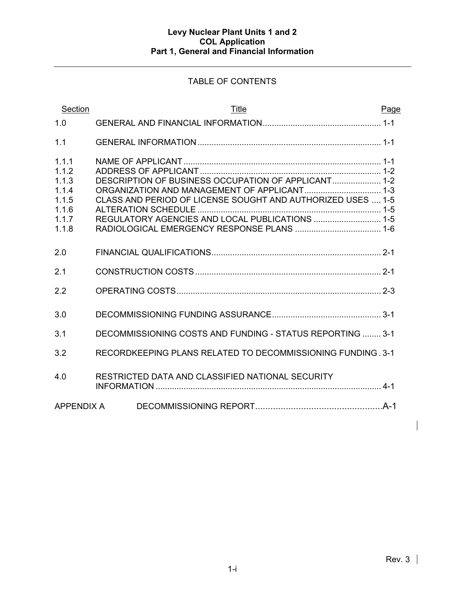# TABLE OF CONTENTS

| Section                                                              | <b>Title</b>                                                                                                                                                          | Page |
|----------------------------------------------------------------------|-----------------------------------------------------------------------------------------------------------------------------------------------------------------------|------|
| 1.0                                                                  |                                                                                                                                                                       |      |
| 1.1                                                                  |                                                                                                                                                                       |      |
| 1.1.1<br>1.1.2<br>1.1.3<br>1.1.4<br>1.1.5<br>1.1.6<br>1.1.7<br>1.1.8 | DESCRIPTION OF BUSINESS OCCUPATION OF APPLICANT 1-2<br>CLASS AND PERIOD OF LICENSE SOUGHT AND AUTHORIZED USES  1-5<br>REGULATORY AGENCIES AND LOCAL PUBLICATIONS  1-5 |      |
| 2.0                                                                  |                                                                                                                                                                       |      |
| 2.1                                                                  |                                                                                                                                                                       |      |
| 2.2                                                                  |                                                                                                                                                                       |      |
| 3.0                                                                  |                                                                                                                                                                       |      |
| 3.1                                                                  | DECOMMISSIONING COSTS AND FUNDING - STATUS REPORTING  3-1                                                                                                             |      |
| 3.2                                                                  | RECORDKEEPING PLANS RELATED TO DECOMMISSIONING FUNDING, 3-1                                                                                                           |      |
| 4.0                                                                  | RESTRICTED DATA AND CLASSIFIED NATIONAL SECURITY                                                                                                                      |      |
| <b>APPENDIX A</b>                                                    |                                                                                                                                                                       |      |

 $\overline{\phantom{a}}$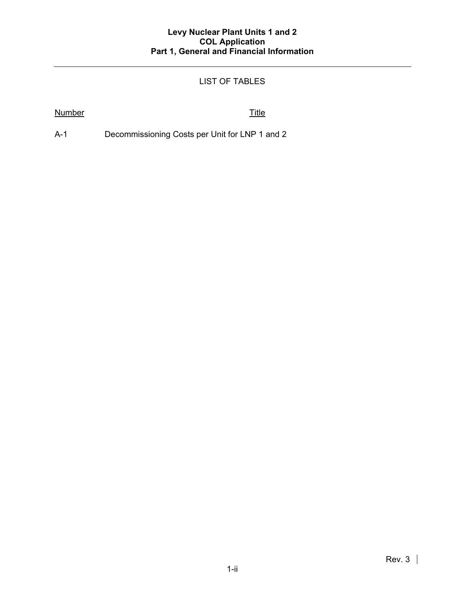# LIST OF TABLES

## Number Title

A-1 Decommissioning Costs per Unit for LNP 1 and 2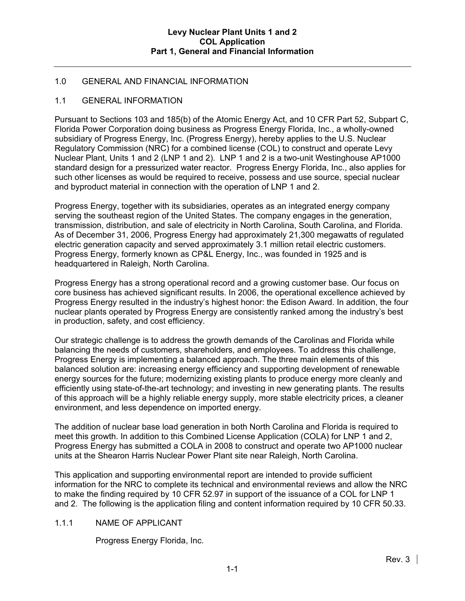### 1.0 GENERAL AND FINANCIAL INFORMATION

#### 1.1 GENERAL INFORMATION

Pursuant to Sections 103 and 185(b) of the Atomic Energy Act, and 10 CFR Part 52, Subpart C, Florida Power Corporation doing business as Progress Energy Florida, Inc., a wholly-owned subsidiary of Progress Energy, Inc. (Progress Energy), hereby applies to the U.S. Nuclear Regulatory Commission (NRC) for a combined license (COL) to construct and operate Levy Nuclear Plant, Units 1 and 2 (LNP 1 and 2). LNP 1 and 2 is a two-unit Westinghouse AP1000 standard design for a pressurized water reactor. Progress Energy Florida, Inc., also applies for such other licenses as would be required to receive, possess and use source, special nuclear and byproduct material in connection with the operation of LNP 1 and 2.

Progress Energy, together with its subsidiaries, operates as an integrated energy company serving the southeast region of the United States. The company engages in the generation, transmission, distribution, and sale of electricity in North Carolina, South Carolina, and Florida. As of December 31, 2006, Progress Energy had approximately 21,300 megawatts of regulated electric generation capacity and served approximately 3.1 million retail electric customers. Progress Energy, formerly known as CP&L Energy, Inc., was founded in 1925 and is headquartered in Raleigh, North Carolina.

Progress Energy has a strong operational record and a growing customer base. Our focus on core business has achieved significant results. In 2006, the operational excellence achieved by Progress Energy resulted in the industry's highest honor: the Edison Award. In addition, the four nuclear plants operated by Progress Energy are consistently ranked among the industry's best in production, safety, and cost efficiency.

Our strategic challenge is to address the growth demands of the Carolinas and Florida while balancing the needs of customers, shareholders, and employees. To address this challenge, Progress Energy is implementing a balanced approach. The three main elements of this balanced solution are: increasing energy efficiency and supporting development of renewable energy sources for the future; modernizing existing plants to produce energy more cleanly and efficiently using state-of-the-art technology; and investing in new generating plants. The results of this approach will be a highly reliable energy supply, more stable electricity prices, a cleaner environment, and less dependence on imported energy.

The addition of nuclear base load generation in both North Carolina and Florida is required to meet this growth. In addition to this Combined License Application (COLA) for LNP 1 and 2, Progress Energy has submitted a COLA in 2008 to construct and operate two AP1000 nuclear units at the Shearon Harris Nuclear Power Plant site near Raleigh, North Carolina.

This application and supporting environmental report are intended to provide sufficient information for the NRC to complete its technical and environmental reviews and allow the NRC to make the finding required by 10 CFR 52.97 in support of the issuance of a COL for LNP 1 and 2. The following is the application filing and content information required by 10 CFR 50.33.

#### 1.1.1 NAME OF APPLICANT

Progress Energy Florida, Inc.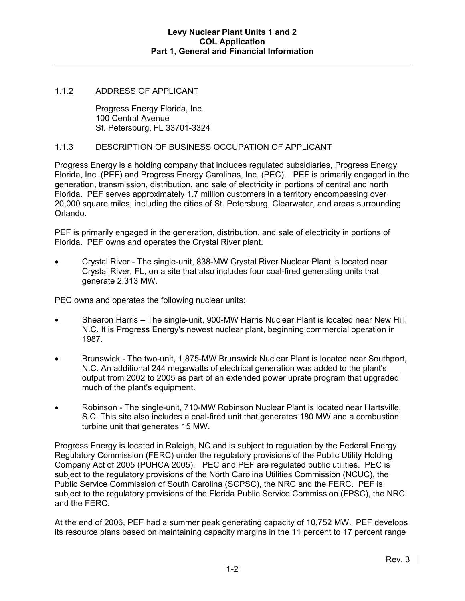#### 1.1.2 ADDRESS OF APPLICANT

Progress Energy Florida, Inc. 100 Central Avenue St. Petersburg, FL 33701-3324

#### 1.1.3 DESCRIPTION OF BUSINESS OCCUPATION OF APPLICANT

Progress Energy is a holding company that includes regulated subsidiaries, Progress Energy Florida, Inc. (PEF) and Progress Energy Carolinas, Inc. (PEC). PEF is primarily engaged in the generation, transmission, distribution, and sale of electricity in portions of central and north Florida. PEF serves approximately 1.7 million customers in a territory encompassing over 20,000 square miles, including the cities of St. Petersburg, Clearwater, and areas surrounding Orlando.

PEF is primarily engaged in the generation, distribution, and sale of electricity in portions of Florida. PEF owns and operates the Crystal River plant.

• Crystal River - The single-unit, 838-MW Crystal River Nuclear Plant is located near Crystal River, FL, on a site that also includes four coal-fired generating units that generate 2,313 MW.

PEC owns and operates the following nuclear units:

- Shearon Harris The single-unit, 900-MW Harris Nuclear Plant is located near New Hill, N.C. It is Progress Energy's newest nuclear plant, beginning commercial operation in 1987.
- Brunswick The two-unit, 1,875-MW Brunswick Nuclear Plant is located near Southport, N.C. An additional 244 megawatts of electrical generation was added to the plant's output from 2002 to 2005 as part of an extended power uprate program that upgraded much of the plant's equipment.
- Robinson The single-unit, 710-MW Robinson Nuclear Plant is located near Hartsville, S.C. This site also includes a coal-fired unit that generates 180 MW and a combustion turbine unit that generates 15 MW.

Progress Energy is located in Raleigh, NC and is subject to regulation by the Federal Energy Regulatory Commission (FERC) under the regulatory provisions of the Public Utility Holding Company Act of 2005 (PUHCA 2005). PEC and PEF are regulated public utilities. PEC is subject to the regulatory provisions of the North Carolina Utilities Commission (NCUC), the Public Service Commission of South Carolina (SCPSC), the NRC and the FERC. PEF is subject to the regulatory provisions of the Florida Public Service Commission (FPSC), the NRC and the FERC.

At the end of 2006, PEF had a summer peak generating capacity of 10,752 MW. PEF develops its resource plans based on maintaining capacity margins in the 11 percent to 17 percent range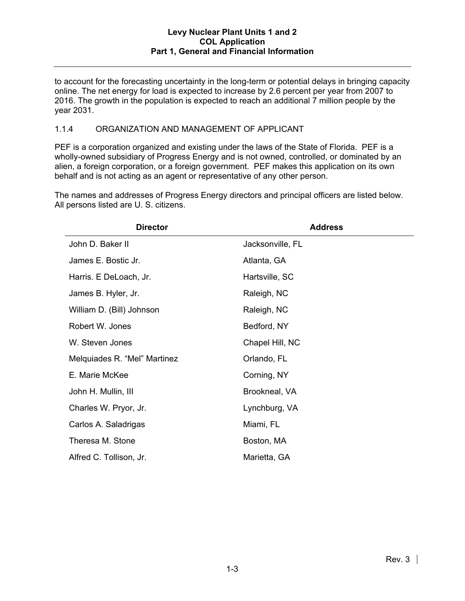to account for the forecasting uncertainty in the long-term or potential delays in bringing capacity online. The net energy for load is expected to increase by 2.6 percent per year from 2007 to 2016. The growth in the population is expected to reach an additional 7 million people by the year 2031.

### 1.1.4 ORGANIZATION AND MANAGEMENT OF APPLICANT

PEF is a corporation organized and existing under the laws of the State of Florida. PEF is a wholly-owned subsidiary of Progress Energy and is not owned, controlled, or dominated by an alien, a foreign corporation, or a foreign government. PEF makes this application on its own behalf and is not acting as an agent or representative of any other person.

The names and addresses of Progress Energy directors and principal officers are listed below. All persons listed are U. S. citizens.

| <b>Director</b>              | <b>Address</b>   |
|------------------------------|------------------|
| John D. Baker II             | Jacksonville, FL |
| James E. Bostic Jr.          | Atlanta, GA      |
| Harris. E DeLoach, Jr.       | Hartsville, SC   |
| James B. Hyler, Jr.          | Raleigh, NC      |
| William D. (Bill) Johnson    | Raleigh, NC      |
| Robert W. Jones              | Bedford, NY      |
| W. Steven Jones              | Chapel Hill, NC  |
| Melquiades R. "Mel" Martinez | Orlando, FL      |
| E. Marie McKee               | Corning, NY      |
| John H. Mullin, III          | Brookneal, VA    |
| Charles W. Pryor, Jr.        | Lynchburg, VA    |
| Carlos A. Saladrigas         | Miami, FL        |
| Theresa M. Stone             | Boston, MA       |
| Alfred C. Tollison, Jr.      | Marietta, GA     |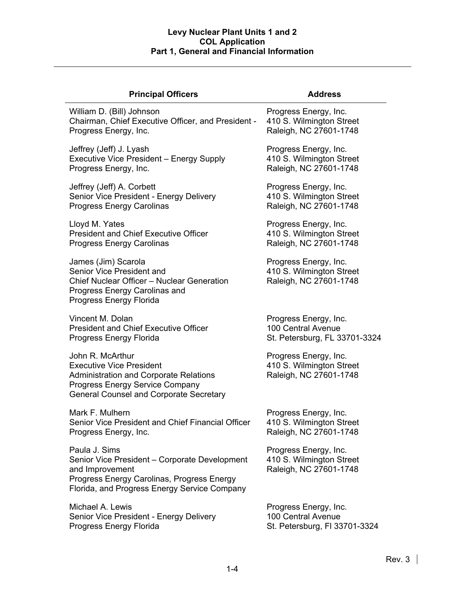| <b>Principal Officers</b>                                                                                                                                                                 | <b>Address</b>                                                              |  |  |  |
|-------------------------------------------------------------------------------------------------------------------------------------------------------------------------------------------|-----------------------------------------------------------------------------|--|--|--|
| William D. (Bill) Johnson                                                                                                                                                                 | Progress Energy, Inc.                                                       |  |  |  |
| Chairman, Chief Executive Officer, and President -                                                                                                                                        | 410 S. Wilmington Street                                                    |  |  |  |
| Progress Energy, Inc.                                                                                                                                                                     | Raleigh, NC 27601-1748                                                      |  |  |  |
| Jeffrey (Jeff) J. Lyash                                                                                                                                                                   | Progress Energy, Inc.                                                       |  |  |  |
| Executive Vice President - Energy Supply                                                                                                                                                  | 410 S. Wilmington Street                                                    |  |  |  |
| Progress Energy, Inc.                                                                                                                                                                     | Raleigh, NC 27601-1748                                                      |  |  |  |
| Jeffrey (Jeff) A. Corbett                                                                                                                                                                 | Progress Energy, Inc.                                                       |  |  |  |
| Senior Vice President - Energy Delivery                                                                                                                                                   | 410 S. Wilmington Street                                                    |  |  |  |
| <b>Progress Energy Carolinas</b>                                                                                                                                                          | Raleigh, NC 27601-1748                                                      |  |  |  |
| Lloyd M. Yates                                                                                                                                                                            | Progress Energy, Inc.                                                       |  |  |  |
| <b>President and Chief Executive Officer</b>                                                                                                                                              | 410 S. Wilmington Street                                                    |  |  |  |
| <b>Progress Energy Carolinas</b>                                                                                                                                                          | Raleigh, NC 27601-1748                                                      |  |  |  |
| James (Jim) Scarola<br>Senior Vice President and<br>Chief Nuclear Officer - Nuclear Generation<br>Progress Energy Carolinas and<br>Progress Energy Florida                                | Progress Energy, Inc.<br>410 S. Wilmington Street<br>Raleigh, NC 27601-1748 |  |  |  |
| Vincent M. Dolan                                                                                                                                                                          | Progress Energy, Inc.                                                       |  |  |  |
| <b>President and Chief Executive Officer</b>                                                                                                                                              | 100 Central Avenue                                                          |  |  |  |
| Progress Energy Florida                                                                                                                                                                   | St. Petersburg, FL 33701-3324                                               |  |  |  |
| John R. McArthur<br><b>Executive Vice President</b><br><b>Administration and Corporate Relations</b><br>Progress Energy Service Company<br><b>General Counsel and Corporate Secretary</b> | Progress Energy, Inc.<br>410 S. Wilmington Street<br>Raleigh, NC 27601-1748 |  |  |  |
| Mark F. Mulhern                                                                                                                                                                           | Progress Energy, Inc.                                                       |  |  |  |
| Senior Vice President and Chief Financial Officer                                                                                                                                         | 410 S. Wilmington Street                                                    |  |  |  |
| Progress Energy, Inc.                                                                                                                                                                     | Raleigh, NC 27601-1748                                                      |  |  |  |
| Paula J. Sims<br>Senior Vice President - Corporate Development<br>and Improvement<br>Progress Energy Carolinas, Progress Energy<br>Florida, and Progress Energy Service Company           | Progress Energy, Inc.<br>410 S. Wilmington Street<br>Raleigh, NC 27601-1748 |  |  |  |
| Michael A. Lewis                                                                                                                                                                          | Progress Energy, Inc.                                                       |  |  |  |
| Senior Vice President - Energy Delivery                                                                                                                                                   | 100 Central Avenue                                                          |  |  |  |
| Progress Energy Florida                                                                                                                                                                   | St. Petersburg, FI 33701-3324                                               |  |  |  |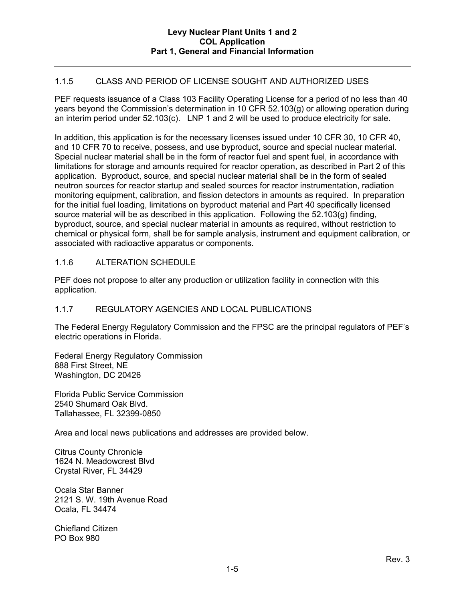### 1.1.5 CLASS AND PERIOD OF LICENSE SOUGHT AND AUTHORIZED USES

PEF requests issuance of a Class 103 Facility Operating License for a period of no less than 40 years beyond the Commission's determination in 10 CFR 52.103(g) or allowing operation during an interim period under 52.103(c). LNP 1 and 2 will be used to produce electricity for sale.

In addition, this application is for the necessary licenses issued under 10 CFR 30, 10 CFR 40, and 10 CFR 70 to receive, possess, and use byproduct, source and special nuclear material. Special nuclear material shall be in the form of reactor fuel and spent fuel, in accordance with limitations for storage and amounts required for reactor operation, as described in Part 2 of this application. Byproduct, source, and special nuclear material shall be in the form of sealed neutron sources for reactor startup and sealed sources for reactor instrumentation, radiation monitoring equipment, calibration, and fission detectors in amounts as required. In preparation for the initial fuel loading, limitations on byproduct material and Part 40 specifically licensed source material will be as described in this application. Following the 52.103(g) finding, byproduct, source, and special nuclear material in amounts as required, without restriction to chemical or physical form, shall be for sample analysis, instrument and equipment calibration, or associated with radioactive apparatus or components.

#### 1.1.6 ALTERATION SCHEDULE

PEF does not propose to alter any production or utilization facility in connection with this application.

# 1.1.7 REGULATORY AGENCIES AND LOCAL PUBLICATIONS

The Federal Energy Regulatory Commission and the FPSC are the principal regulators of PEF's electric operations in Florida.

Federal Energy Regulatory Commission 888 First Street, NE Washington, DC 20426

Florida Public Service Commission 2540 Shumard Oak Blvd. Tallahassee, FL 32399-0850

Area and local news publications and addresses are provided below.

Citrus County Chronicle 1624 N. Meadowcrest Blvd Crystal River, FL 34429

Ocala Star Banner 2121 S. W. 19th Avenue Road Ocala, FL 34474

Chiefland Citizen PO Box 980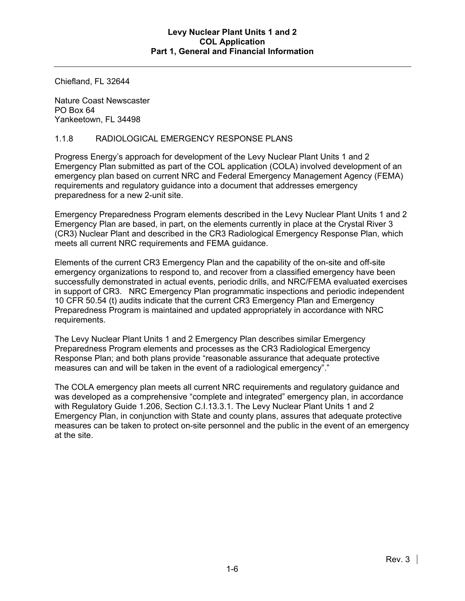Chiefland, FL 32644

Nature Coast Newscaster PO Box 64 Yankeetown, FL 34498

### 1.1.8 RADIOLOGICAL EMERGENCY RESPONSE PLANS

Progress Energy's approach for development of the Levy Nuclear Plant Units 1 and 2 Emergency Plan submitted as part of the COL application (COLA) involved development of an emergency plan based on current NRC and Federal Emergency Management Agency (FEMA) requirements and regulatory guidance into a document that addresses emergency preparedness for a new 2-unit site.

Emergency Preparedness Program elements described in the Levy Nuclear Plant Units 1 and 2 Emergency Plan are based, in part, on the elements currently in place at the Crystal River 3 (CR3) Nuclear Plant and described in the CR3 Radiological Emergency Response Plan, which meets all current NRC requirements and FEMA guidance.

Elements of the current CR3 Emergency Plan and the capability of the on-site and off-site emergency organizations to respond to, and recover from a classified emergency have been successfully demonstrated in actual events, periodic drills, and NRC/FEMA evaluated exercises in support of CR3. NRC Emergency Plan programmatic inspections and periodic independent 10 CFR 50.54 (t) audits indicate that the current CR3 Emergency Plan and Emergency Preparedness Program is maintained and updated appropriately in accordance with NRC requirements.

The Levy Nuclear Plant Units 1 and 2 Emergency Plan describes similar Emergency Preparedness Program elements and processes as the CR3 Radiological Emergency Response Plan; and both plans provide "reasonable assurance that adequate protective measures can and will be taken in the event of a radiological emergency"."

The COLA emergency plan meets all current NRC requirements and regulatory guidance and was developed as a comprehensive "complete and integrated" emergency plan, in accordance with Regulatory Guide 1.206, Section C.I.13.3.1. The Levy Nuclear Plant Units 1 and 2 Emergency Plan, in conjunction with State and county plans, assures that adequate protective measures can be taken to protect on-site personnel and the public in the event of an emergency at the site.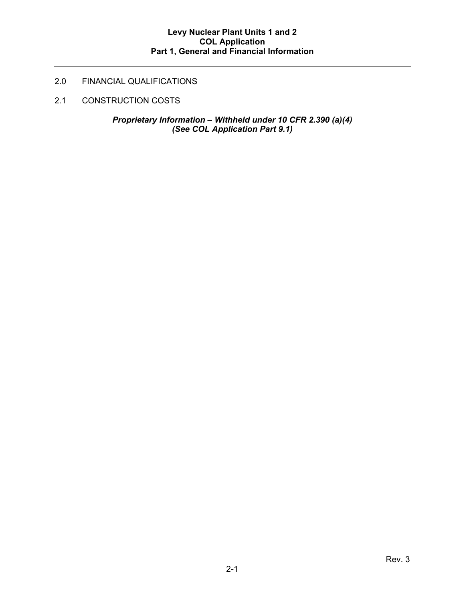# 2.0 FINANCIAL QUALIFICATIONS

2.1 CONSTRUCTION COSTS

*Proprietary Information – Withheld under 10 CFR 2.390 (a)(4) (See COL Application Part 9.1)*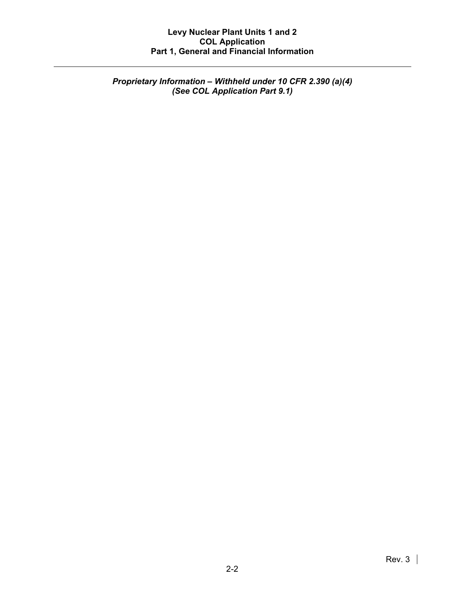*Proprietary Information – Withheld under 10 CFR 2.390 (a)(4) (See COL Application Part 9.1)*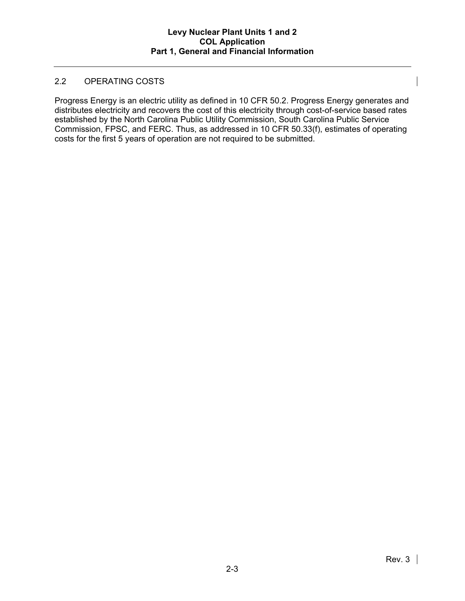## 2.2 OPERATING COSTS

Progress Energy is an electric utility as defined in 10 CFR 50.2. Progress Energy generates and distributes electricity and recovers the cost of this electricity through cost-of-service based rates established by the North Carolina Public Utility Commission, South Carolina Public Service Commission, FPSC, and FERC. Thus, as addressed in 10 CFR 50.33(f), estimates of operating costs for the first 5 years of operation are not required to be submitted.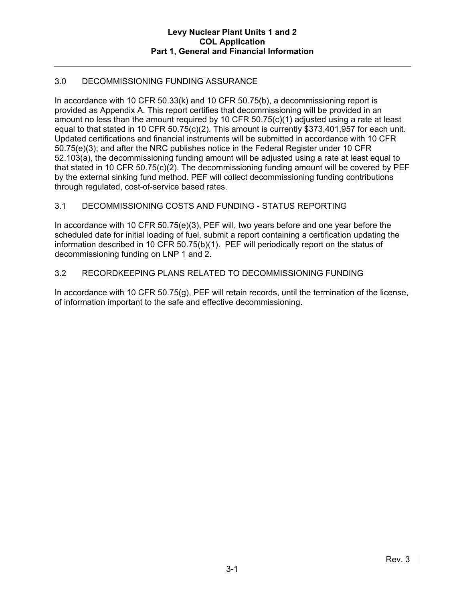# 3.0 DECOMMISSIONING FUNDING ASSURANCE

In accordance with 10 CFR 50.33(k) and 10 CFR 50.75(b), a decommissioning report is provided as Appendix A. This report certifies that decommissioning will be provided in an amount no less than the amount required by 10 CFR 50.75(c)(1) adjusted using a rate at least equal to that stated in 10 CFR 50.75(c)(2). This amount is currently \$373,401,957 for each unit. Updated certifications and financial instruments will be submitted in accordance with 10 CFR 50.75(e)(3); and after the NRC publishes notice in the Federal Register under 10 CFR 52.103(a), the decommissioning funding amount will be adjusted using a rate at least equal to that stated in 10 CFR 50.75(c)(2). The decommissioning funding amount will be covered by PEF by the external sinking fund method. PEF will collect decommissioning funding contributions through regulated, cost-of-service based rates.

# 3.1 DECOMMISSIONING COSTS AND FUNDING - STATUS REPORTING

In accordance with 10 CFR 50.75(e)(3), PEF will, two years before and one year before the scheduled date for initial loading of fuel, submit a report containing a certification updating the information described in 10 CFR 50.75(b)(1). PEF will periodically report on the status of decommissioning funding on LNP 1 and 2.

#### 3.2 RECORDKEEPING PLANS RELATED TO DECOMMISSIONING FUNDING

In accordance with 10 CFR 50.75(g), PEF will retain records, until the termination of the license, of information important to the safe and effective decommissioning.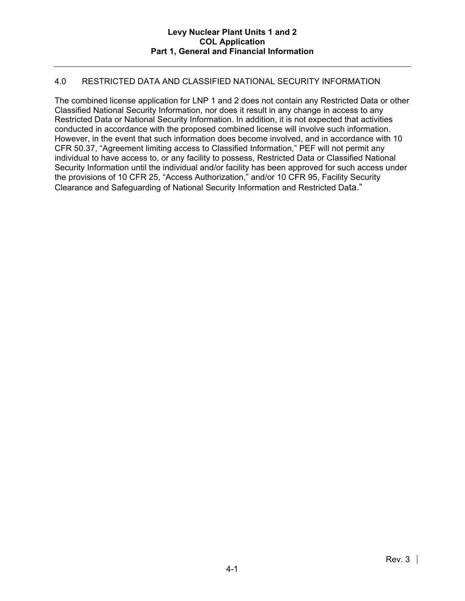### 4.0 RESTRICTED DATA AND CLASSIFIED NATIONAL SECURITY INFORMATION

The combined license application for LNP 1 and 2 does not contain any Restricted Data or other Classified National Security Information, nor does it result in any change in access to any Restricted Data or National Security Information. In addition, it is not expected that activities conducted in accordance with the proposed combined license will involve such information. However, in the event that such information does become involved, and in accordance with 10 CFR 50.37, "Agreement limiting access to Classified Information," PEF will not permit any individual to have access to, or any facility to possess, Restricted Data or Classified National Security Information until the individual and/or facility has been approved for such access under the provisions of 10 CFR 25, "Access Authorization," and/or 10 CFR 95, Facility Security Clearance and Safeguarding of National Security Information and Restricted Data."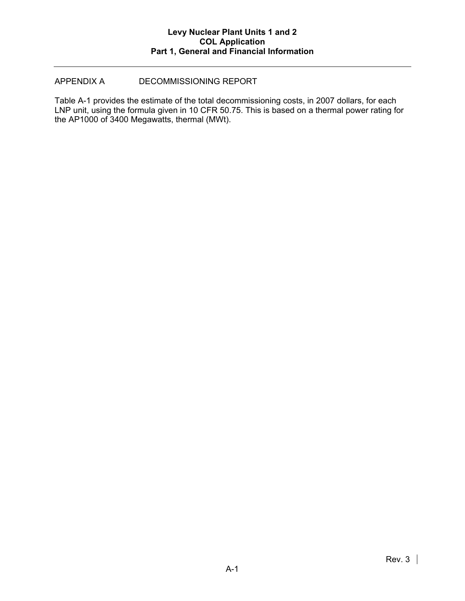### APPENDIX A DECOMMISSIONING REPORT

Table A-1 provides the estimate of the total decommissioning costs, in 2007 dollars, for each LNP unit, using the formula given in 10 CFR 50.75. This is based on a thermal power rating for the AP1000 of 3400 Megawatts, thermal (MWt).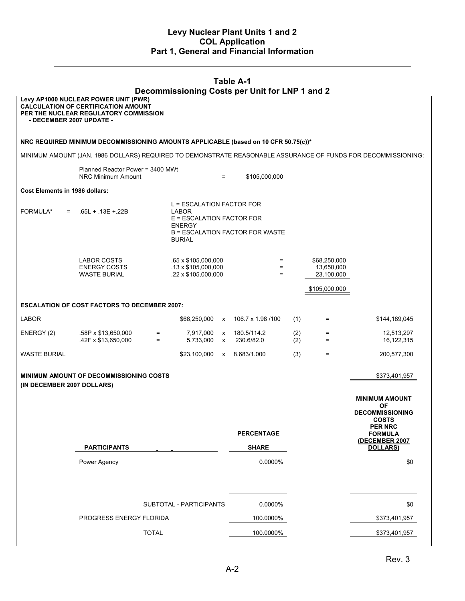| <b>Table A-1</b><br>Decommissioning Costs per Unit for LNP 1 and 2                                            |                                                                                                                             |              |                                                                                                                                             |                   |                           |            |                                          |                                                                       |  |  |  |  |
|---------------------------------------------------------------------------------------------------------------|-----------------------------------------------------------------------------------------------------------------------------|--------------|---------------------------------------------------------------------------------------------------------------------------------------------|-------------------|---------------------------|------------|------------------------------------------|-----------------------------------------------------------------------|--|--|--|--|
| - DECEMBER 2007 UPDATE -                                                                                      | Levy AP1000 NUCLEAR POWER UNIT (PWR)<br><b>CALCULATION OF CERTIFICATION AMOUNT</b><br>PER THE NUCLEAR REGULATORY COMMISSION |              |                                                                                                                                             |                   |                           |            |                                          |                                                                       |  |  |  |  |
|                                                                                                               |                                                                                                                             |              |                                                                                                                                             |                   |                           |            |                                          |                                                                       |  |  |  |  |
| NRC REQUIRED MINIMUM DECOMMISSIONING AMOUNTS APPLICABLE (based on 10 CFR 50.75(c))*                           |                                                                                                                             |              |                                                                                                                                             |                   |                           |            |                                          |                                                                       |  |  |  |  |
| MINIMUM AMOUNT (JAN. 1986 DOLLARS) REQUIRED TO DEMONSTRATE REASONABLE ASSURANCE OF FUNDS FOR DECOMMISSIONING: |                                                                                                                             |              |                                                                                                                                             |                   |                           |            |                                          |                                                                       |  |  |  |  |
|                                                                                                               | Planned Reactor Power = 3400 MWt<br>NRC Minimum Amount                                                                      |              |                                                                                                                                             | $=$               | \$105,000,000             |            |                                          |                                                                       |  |  |  |  |
| Cost Elements in 1986 dollars:                                                                                |                                                                                                                             |              |                                                                                                                                             |                   |                           |            |                                          |                                                                       |  |  |  |  |
| FORMULA*<br>$=$                                                                                               | $.65L + .13E + .22B$                                                                                                        |              | L = ESCALATION FACTOR FOR<br>LABOR<br>E = ESCALATION FACTOR FOR<br><b>ENERGY</b><br><b>B = ESCALATION FACTOR FOR WASTE</b><br><b>BURIAL</b> |                   |                           |            |                                          |                                                                       |  |  |  |  |
|                                                                                                               | LABOR COSTS<br><b>ENERGY COSTS</b><br><b>WASTE BURIAL</b>                                                                   |              | .65 x \$105,000,000<br>$.13 \times $105,000,000$<br>.22 x \$105,000,000                                                                     |                   | $=$<br>$=$<br>$=$         |            | \$68,250,000<br>13,650,000<br>23,100,000 |                                                                       |  |  |  |  |
|                                                                                                               |                                                                                                                             |              |                                                                                                                                             |                   |                           |            | \$105,000,000                            |                                                                       |  |  |  |  |
|                                                                                                               | <b>ESCALATION OF COST FACTORS TO DECEMBER 2007:</b>                                                                         |              |                                                                                                                                             |                   |                           |            |                                          |                                                                       |  |  |  |  |
| <b>LABOR</b>                                                                                                  |                                                                                                                             |              | \$68,250,000 x                                                                                                                              |                   | 106.7 x 1.98 /100         | (1)        | Ξ.                                       | \$144,189,045                                                         |  |  |  |  |
| ENERGY (2)                                                                                                    | .58P x \$13,650,000<br>.42F x \$13,650,000                                                                                  | $=$<br>$=$   | 7,917,000<br>5,733,000                                                                                                                      | X<br>$\mathsf{x}$ | 180.5/114.2<br>230.6/82.0 | (2)<br>(2) | $=$<br>$=$                               | 12,513,297<br>16,122,315                                              |  |  |  |  |
| <b>WASTE BURIAL</b>                                                                                           |                                                                                                                             |              | \$23,100,000                                                                                                                                |                   | x 8.683/1.000             | (3)        | $=$                                      | 200,577,300                                                           |  |  |  |  |
| (IN DECEMBER 2007 DOLLARS)                                                                                    | <b>MINIMUM AMOUNT OF DECOMMISSIONING COSTS</b>                                                                              |              |                                                                                                                                             |                   |                           |            |                                          | \$373,401,957                                                         |  |  |  |  |
|                                                                                                               |                                                                                                                             |              |                                                                                                                                             |                   |                           |            |                                          | <b>MINIMUM AMOUNT</b>                                                 |  |  |  |  |
|                                                                                                               |                                                                                                                             |              |                                                                                                                                             |                   |                           |            |                                          | <b>OF</b><br><b>DECOMMISSIONING</b><br><b>COSTS</b><br><b>PER NRC</b> |  |  |  |  |
|                                                                                                               |                                                                                                                             |              |                                                                                                                                             |                   | <b>PERCENTAGE</b>         |            |                                          | <b>FORMULA</b><br>(DECEMBER 2007                                      |  |  |  |  |
|                                                                                                               | <b>PARTICIPANTS</b>                                                                                                         |              |                                                                                                                                             |                   | <b>SHARE</b>              |            |                                          | <b>DOLLARS)</b>                                                       |  |  |  |  |
|                                                                                                               | Power Agency                                                                                                                |              |                                                                                                                                             |                   | 0.0000%                   |            |                                          | \$0                                                                   |  |  |  |  |
|                                                                                                               |                                                                                                                             |              | SUBTOTAL - PARTICIPANTS                                                                                                                     |                   | 0.0000%                   |            |                                          | \$0                                                                   |  |  |  |  |
| PROGRESS ENERGY FLORIDA                                                                                       |                                                                                                                             |              |                                                                                                                                             | 100.0000%         |                           |            | \$373,401,957                            |                                                                       |  |  |  |  |
|                                                                                                               |                                                                                                                             | <b>TOTAL</b> |                                                                                                                                             |                   | 100.0000%                 |            |                                          | \$373,401,957                                                         |  |  |  |  |